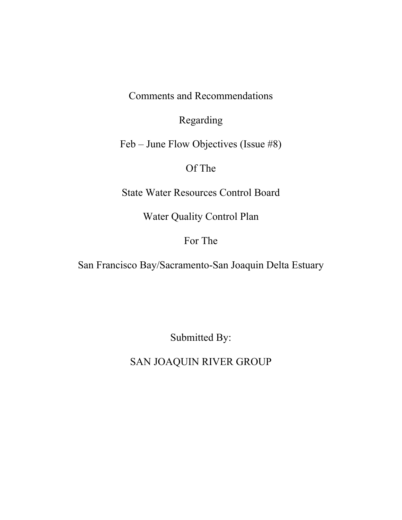Comments and Recommendations

Regarding

Feb – June Flow Objectives (Issue #8)

# Of The

State Water Resources Control Board

Water Quality Control Plan

## For The

San Francisco Bay/Sacramento-San Joaquin Delta Estuary

Submitted By:

SAN JOAQUIN RIVER GROUP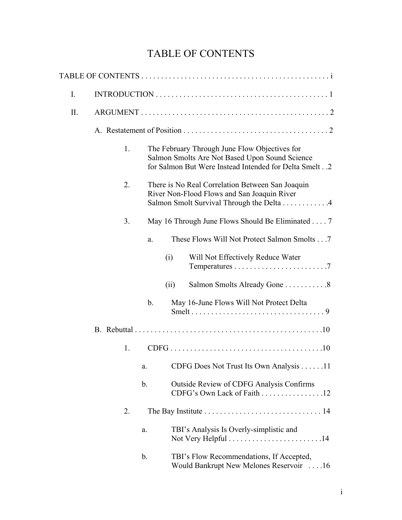# TABLE OF CONTENTS

| I.  |    |               |                                                                                                                                                             |  |
|-----|----|---------------|-------------------------------------------------------------------------------------------------------------------------------------------------------------|--|
| II. |    |               |                                                                                                                                                             |  |
|     |    |               |                                                                                                                                                             |  |
|     | 1. |               | The February Through June Flow Objectives for<br>Salmon Smolts Are Not Based Upon Sound Science<br>for Salmon But Were Instead Intended for Delta Smelt. .2 |  |
|     | 2. |               | There is No Real Correlation Between San Joaquin<br>River Non-Flood Flows and San Joaquin River<br>Salmon Smolt Survival Through the Delta 4                |  |
|     | 3. |               | May 16 Through June Flows Should Be Eliminated 7                                                                                                            |  |
|     |    | a.            | These Flows Will Not Protect Salmon Smolts 7                                                                                                                |  |
|     |    |               | Will Not Effectively Reduce Water<br>(i)                                                                                                                    |  |
|     |    |               | Salmon Smolts Already Gone 8<br>(ii)                                                                                                                        |  |
|     |    | $\mathbf b$ . | May 16-June Flows Will Not Protect Delta                                                                                                                    |  |
|     |    |               |                                                                                                                                                             |  |
|     | 1. |               |                                                                                                                                                             |  |
|     |    | a.            | CDFG Does Not Trust Its Own Analysis 11                                                                                                                     |  |
|     |    | b.            | Outside Review of CDFG Analysis Confirms<br>CDFG's Own Lack of Faith 12                                                                                     |  |
|     | 2. |               | The Bay Institute $\ldots \ldots \ldots \ldots \ldots \ldots \ldots \ldots \ldots 14$                                                                       |  |
|     |    | a.            | TBI's Analysis Is Overly-simplistic and<br>Not Very Helpful . $\dots \dots \dots \dots \dots \dots \dots \dots 14$                                          |  |
|     |    | b.            | TBI's Flow Recommendations, If Accepted,<br>Would Bankrupt New Melones Reservoir 16                                                                         |  |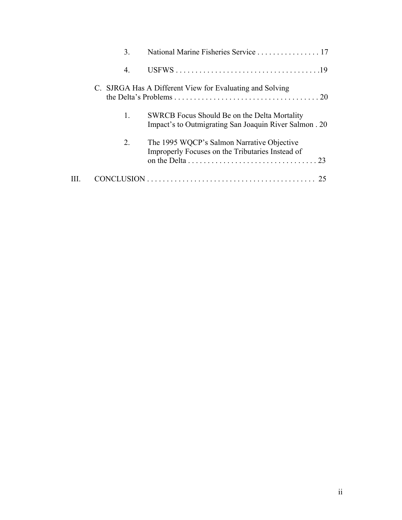| 3.           | National Marine Fisheries Service 17                                                                  |
|--------------|-------------------------------------------------------------------------------------------------------|
| 4.           |                                                                                                       |
|              | C. SJRGA Has A Different View for Evaluating and Solving                                              |
| $\mathbf{1}$ | SWRCB Focus Should Be on the Delta Mortality<br>Impact's to Outmigrating San Joaquin River Salmon. 20 |
| 2.           | The 1995 WQCP's Salmon Narrative Objective<br>Improperly Focuses on the Tributaries Instead of        |
|              |                                                                                                       |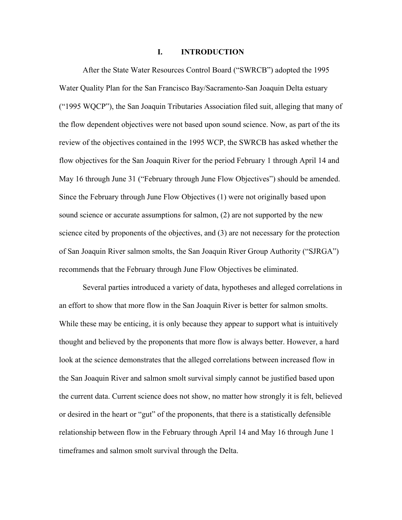#### I. INTRODUCTION

 After the State Water Resources Control Board ("SWRCB") adopted the 1995 Water Quality Plan for the San Francisco Bay/Sacramento-San Joaquin Delta estuary ("1995 WQCP"), the San Joaquin Tributaries Association filed suit, alleging that many of the flow dependent objectives were not based upon sound science. Now, as part of the its review of the objectives contained in the 1995 WCP, the SWRCB has asked whether the flow objectives for the San Joaquin River for the period February 1 through April 14 and May 16 through June 31 ("February through June Flow Objectives") should be amended. Since the February through June Flow Objectives (1) were not originally based upon sound science or accurate assumptions for salmon, (2) are not supported by the new science cited by proponents of the objectives, and (3) are not necessary for the protection of San Joaquin River salmon smolts, the San Joaquin River Group Authority ("SJRGA") recommends that the February through June Flow Objectives be eliminated.

 Several parties introduced a variety of data, hypotheses and alleged correlations in an effort to show that more flow in the San Joaquin River is better for salmon smolts. While these may be enticing, it is only because they appear to support what is intuitively thought and believed by the proponents that more flow is always better. However, a hard look at the science demonstrates that the alleged correlations between increased flow in the San Joaquin River and salmon smolt survival simply cannot be justified based upon the current data. Current science does not show, no matter how strongly it is felt, believed or desired in the heart or "gut" of the proponents, that there is a statistically defensible relationship between flow in the February through April 14 and May 16 through June 1 timeframes and salmon smolt survival through the Delta.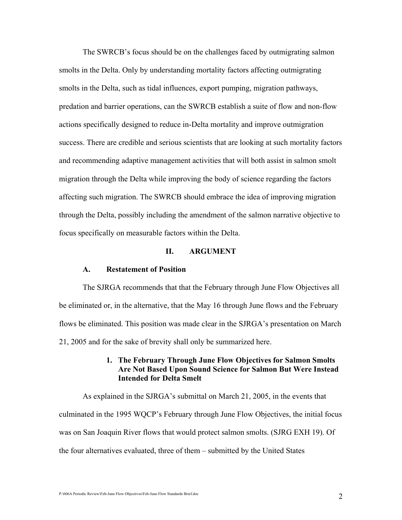The SWRCB's focus should be on the challenges faced by outmigrating salmon smolts in the Delta. Only by understanding mortality factors affecting outmigrating smolts in the Delta, such as tidal influences, export pumping, migration pathways, predation and barrier operations, can the SWRCB establish a suite of flow and non-flow actions specifically designed to reduce in-Delta mortality and improve outmigration success. There are credible and serious scientists that are looking at such mortality factors and recommending adaptive management activities that will both assist in salmon smolt migration through the Delta while improving the body of science regarding the factors affecting such migration. The SWRCB should embrace the idea of improving migration through the Delta, possibly including the amendment of the salmon narrative objective to focus specifically on measurable factors within the Delta.

#### II. ARGUMENT

#### A. Restatement of Position

 The SJRGA recommends that that the February through June Flow Objectives all be eliminated or, in the alternative, that the May 16 through June flows and the February flows be eliminated. This position was made clear in the SJRGA's presentation on March 21, 2005 and for the sake of brevity shall only be summarized here.

## 1. The February Through June Flow Objectives for Salmon Smolts Are Not Based Upon Sound Science for Salmon But Were Instead Intended for Delta Smelt

 As explained in the SJRGA's submittal on March 21, 2005, in the events that culminated in the 1995 WQCP's February through June Flow Objectives, the initial focus was on San Joaquin River flows that would protect salmon smolts. (SJRG EXH 19). Of the four alternatives evaluated, three of them – submitted by the United States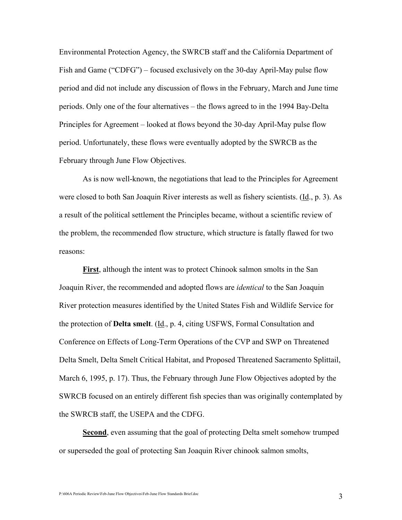Environmental Protection Agency, the SWRCB staff and the California Department of Fish and Game ("CDFG") – focused exclusively on the 30-day April-May pulse flow period and did not include any discussion of flows in the February, March and June time periods. Only one of the four alternatives – the flows agreed to in the 1994 Bay-Delta Principles for Agreement – looked at flows beyond the 30-day April-May pulse flow period. Unfortunately, these flows were eventually adopted by the SWRCB as the February through June Flow Objectives.

 As is now well-known, the negotiations that lead to the Principles for Agreement were closed to both San Joaquin River interests as well as fishery scientists. (Id., p. 3). As a result of the political settlement the Principles became, without a scientific review of the problem, the recommended flow structure, which structure is fatally flawed for two reasons:

First, although the intent was to protect Chinook salmon smolts in the San Joaquin River, the recommended and adopted flows are *identical* to the San Joaquin River protection measures identified by the United States Fish and Wildlife Service for the protection of Delta smelt. (Id., p. 4, citing USFWS, Formal Consultation and Conference on Effects of Long-Term Operations of the CVP and SWP on Threatened Delta Smelt, Delta Smelt Critical Habitat, and Proposed Threatened Sacramento Splittail, March 6, 1995, p. 17). Thus, the February through June Flow Objectives adopted by the SWRCB focused on an entirely different fish species than was originally contemplated by the SWRCB staff, the USEPA and the CDFG.

Second, even assuming that the goal of protecting Delta smelt somehow trumped or superseded the goal of protecting San Joaquin River chinook salmon smolts,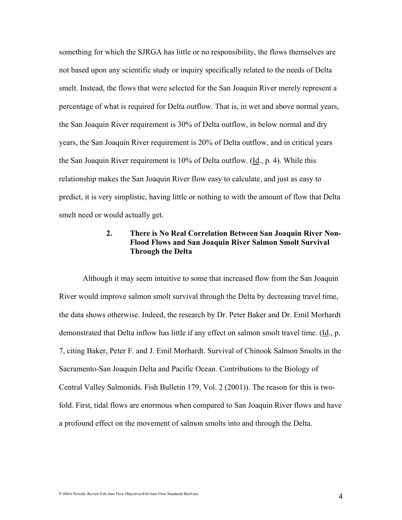something for which the SJRGA has little or no responsibility, the flows themselves are not based upon any scientific study or inquiry specifically related to the needs of Delta smelt. Instead, the flows that were selected for the San Joaquin River merely represent a percentage of what is required for Delta outflow. That is, in wet and above normal years, the San Joaquin River requirement is 30% of Delta outflow, in below normal and dry years, the San Joaquin River requirement is 20% of Delta outflow, and in critical years the San Joaquin River requirement is 10% of Delta outflow. (Id., p. 4). While this relationship makes the San Joaquin River flow easy to calculate, and just as easy to predict, it is very simplistic, having little or nothing to with the amount of flow that Delta smelt need or would actually get.

## 2. There is No Real Correlation Between San Joaquin River Non-Flood Flows and San Joaquin River Salmon Smolt Survival Through the Delta

 Although it may seem intuitive to some that increased flow from the San Joaquin River would improve salmon smolt survival through the Delta by decreasing travel time, the data shows otherwise. Indeed, the research by Dr. Peter Baker and Dr. Emil Morhardt demonstrated that Delta inflow has little if any effect on salmon smolt travel time. (Id., p. 7, citing Baker, Peter F. and J. Emil Morhardt. Survival of Chinook Salmon Smolts in the Sacramento-San Joaquin Delta and Pacific Ocean. Contributions to the Biology of Central Valley Salmonids. Fish Bulletin 179, Vol. 2 (2001)). The reason for this is twofold. First, tidal flows are enormous when compared to San Joaquin River flows and have a profound effect on the movement of salmon smolts into and through the Delta.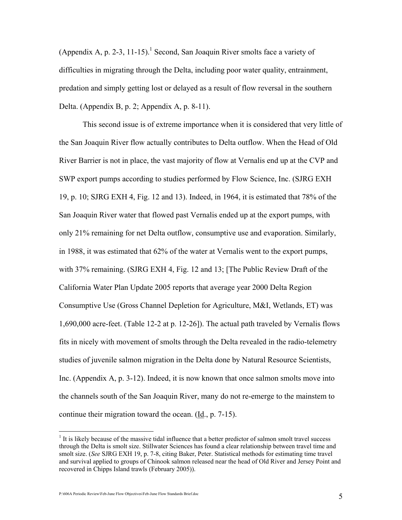(Appendix A, p. 2-3, 11-15).<sup>1</sup> Second, San Joaquin River smolts face a variety of difficulties in migrating through the Delta, including poor water quality, entrainment, predation and simply getting lost or delayed as a result of flow reversal in the southern Delta. (Appendix B, p. 2; Appendix A, p. 8-11).

 This second issue is of extreme importance when it is considered that very little of the San Joaquin River flow actually contributes to Delta outflow. When the Head of Old River Barrier is not in place, the vast majority of flow at Vernalis end up at the CVP and SWP export pumps according to studies performed by Flow Science, Inc. (SJRG EXH 19, p. 10; SJRG EXH 4, Fig. 12 and 13). Indeed, in 1964, it is estimated that 78% of the San Joaquin River water that flowed past Vernalis ended up at the export pumps, with only 21% remaining for net Delta outflow, consumptive use and evaporation. Similarly, in 1988, it was estimated that 62% of the water at Vernalis went to the export pumps, with 37% remaining. (SJRG EXH 4, Fig. 12 and 13; [The Public Review Draft of the California Water Plan Update 2005 reports that average year 2000 Delta Region Consumptive Use (Gross Channel Depletion for Agriculture, M&I, Wetlands, ET) was 1,690,000 acre-feet. (Table 12-2 at p. 12-26]). The actual path traveled by Vernalis flows fits in nicely with movement of smolts through the Delta revealed in the radio-telemetry studies of juvenile salmon migration in the Delta done by Natural Resource Scientists, Inc. (Appendix A, p. 3-12). Indeed, it is now known that once salmon smolts move into the channels south of the San Joaquin River, many do not re-emerge to the mainstem to continue their migration toward the ocean.  $(\underline{Id}, p. 7-15)$ .

P:\606A Periodic Review\Feb-June Flow Objectives\Feb-June Flow Standards Brief.doc 5

<sup>&</sup>lt;sup>1</sup> It is likely because of the massive tidal influence that a better predictor of salmon smolt travel success through the Delta is smolt size. Stillwater Sciences has found a clear relationship between travel time and smolt size. (See SJRG EXH 19, p. 7-8, citing Baker, Peter. Statistical methods for estimating time travel and survival applied to groups of Chinook salmon released near the head of Old River and Jersey Point and recovered in Chipps Island trawls (February 2005)).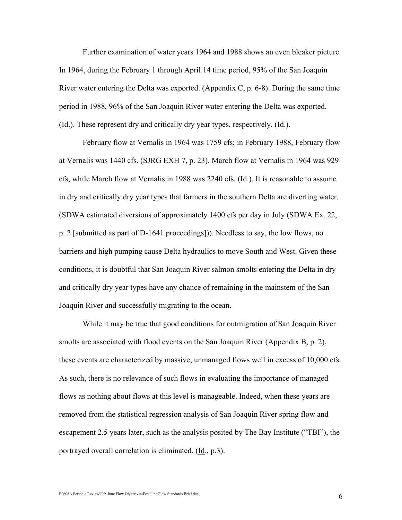Further examination of water years 1964 and 1988 shows an even bleaker picture. In 1964, during the February 1 through April 14 time period, 95% of the San Joaquin River water entering the Delta was exported. (Appendix C, p. 6-8). During the same time period in 1988, 96% of the San Joaquin River water entering the Delta was exported. (Id.). These represent dry and critically dry year types, respectively. (Id.).

February flow at Vernalis in 1964 was 1759 cfs; in February 1988, February flow at Vernalis was 1440 cfs. (SJRG EXH 7, p. 23). March flow at Vernalis in 1964 was 929 cfs, while March flow at Vernalis in 1988 was 2240 cfs. (Id.). It is reasonable to assume in dry and critically dry year types that farmers in the southern Delta are diverting water. (SDWA estimated diversions of approximately 1400 cfs per day in July (SDWA Ex. 22, p. 2 [submitted as part of D-1641 proceedings])). Needless to say, the low flows, no barriers and high pumping cause Delta hydraulics to move South and West. Given these conditions, it is doubtful that San Joaquin River salmon smolts entering the Delta in dry and critically dry year types have any chance of remaining in the mainstem of the San Joaquin River and successfully migrating to the ocean.

 While it may be true that good conditions for outmigration of San Joaquin River smolts are associated with flood events on the San Joaquin River (Appendix B, p. 2), these events are characterized by massive, unmanaged flows well in excess of 10,000 cfs. As such, there is no relevance of such flows in evaluating the importance of managed flows as nothing about flows at this level is manageable. Indeed, when these years are removed from the statistical regression analysis of San Joaquin River spring flow and escapement 2.5 years later, such as the analysis posited by The Bay Institute ("TBI"), the portrayed overall correlation is eliminated. (Id., p.3).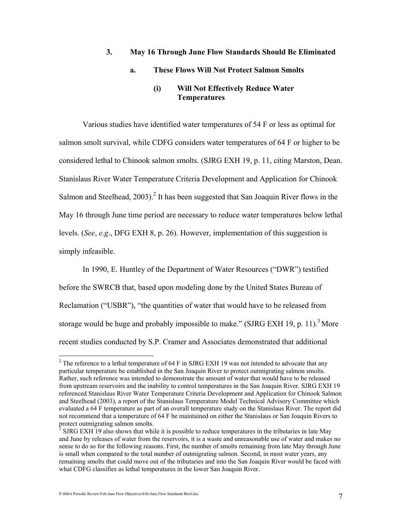#### 3. May 16 Through June Flow Standards Should Be Eliminated

#### a. These Flows Will Not Protect Salmon Smolts

## (i) Will Not Effectively Reduce Water **Temperatures**

 Various studies have identified water temperatures of 54 F or less as optimal for salmon smolt survival, while CDFG considers water temperatures of 64 F or higher to be considered lethal to Chinook salmon smolts. (SJRG EXH 19, p. 11, citing Marston, Dean. Stanislaus River Water Temperature Criteria Development and Application for Chinook Salmon and Steelhead,  $2003$ ).<sup>2</sup> It has been suggested that San Joaquin River flows in the May 16 through June time period are necessary to reduce water temperatures below lethal levels. (See, e.g., DFG EXH 8, p. 26). However, implementation of this suggestion is simply infeasible.

 In 1990, E. Huntley of the Department of Water Resources ("DWR") testified before the SWRCB that, based upon modeling done by the United States Bureau of Reclamation ("USBR"), "the quantities of water that would have to be released from storage would be huge and probably impossible to make." (SJRG EXH 19, p. 11).<sup>3</sup> More recent studies conducted by S.P. Cramer and Associates demonstrated that additional

<sup>&</sup>lt;sup>2</sup> The reference to a lethal temperature of 64 F in SJRG EXH 19 was not intended to advocate that any particular temperature be established in the San Joaquin River to protect outmigrating salmon smolts. Rather, such reference was intended to demonstrate the amount of water that would have to be released from upstream reservoirs and the inability to control temperatures in the San Joaquin River. SJRG EXH 19 referenced Stanislaus River Water Temperature Criteria Development and Application for Chinook Salmon and Steelhead (2003), a report of the Stanislaus Temperature Model Technical Advisory Committee which evaluated a 64 F temperature as part of an overall temperature study on the Stanislaus River. The report did not recommend that a temperature of 64 F be maintained on either the Stanislaus or San Joaquin Rivers to protect outmigrating salmon smolts.

 $3$  SJRG EXH 19 also shows that while it is possible to reduce temperatures in the tributaries in late May and June by releases of water from the reservoirs, it is a waste and unreasonable use of water and makes no sense to do so for the following reasons. First, the number of smolts remaining from late May through June is small when compared to the total number of outmigrating salmon. Second, in most water years, any remaining smolts that could move out of the tributaries and into the San Joaquin River would be faced with what CDFG classifies as lethal temperatures in the lower San Joaquin River.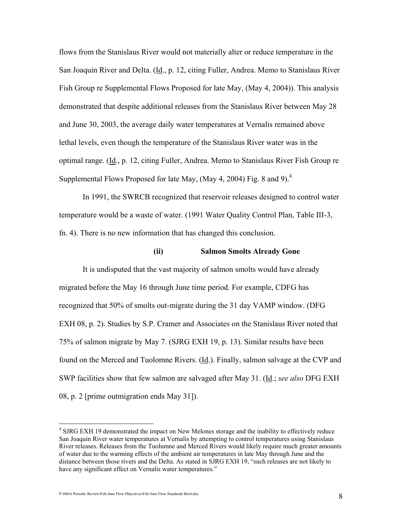flows from the Stanislaus River would not materially alter or reduce temperature in the San Joaquin River and Delta. (Id., p. 12, citing Fuller, Andrea. Memo to Stanislaus River Fish Group re Supplemental Flows Proposed for late May, (May 4, 2004)). This analysis demonstrated that despite additional releases from the Stanislaus River between May 28 and June 30, 2003, the average daily water temperatures at Vernalis remained above lethal levels, even though the temperature of the Stanislaus River water was in the optimal range. (Id., p. 12, citing Fuller, Andrea. Memo to Stanislaus River Fish Group re Supplemental Flows Proposed for late May, (May 4, 2004) Fig. 8 and 9).<sup>4</sup>

 In 1991, the SWRCB recognized that reservoir releases designed to control water temperature would be a waste of water. (1991 Water Quality Control Plan, Table III-3, fn. 4). There is no new information that has changed this conclusion.

#### (ii) Salmon Smolts Already Gone

 It is undisputed that the vast majority of salmon smolts would have already migrated before the May 16 through June time period. For example, CDFG has recognized that 50% of smolts out-migrate during the 31 day VAMP window. (DFG EXH 08, p. 2). Studies by S.P. Cramer and Associates on the Stanislaus River noted that 75% of salmon migrate by May 7. (SJRG EXH 19, p. 13). Similar results have been found on the Merced and Tuolomne Rivers. (Id.). Finally, salmon salvage at the CVP and SWP facilities show that few salmon are salvaged after May 31. (Id.; see also DFG EXH 08, p. 2 [prime outmigration ends May 31]).

P:\606A Periodic Review\Feb-June Flow Objectives\Feb-June Flow Standards Brief.doc 8

<sup>&</sup>lt;sup>4</sup> SJRG EXH 19 demonstrated the impact on New Melones storage and the inability to effectively reduce San Joaquin River water temperatures at Vernalis by attempting to control temperatures using Stanislaus River releases. Releases from the Tuolumne and Merced Rivers would likely require much greater amounts of water due to the warming effects of the ambient air temperatures in late May through June and the distance between those rivers and the Delta. As stated in SJRG EXH 19, "such releases are not likely to have any significant effect on Vernalis water temperatures."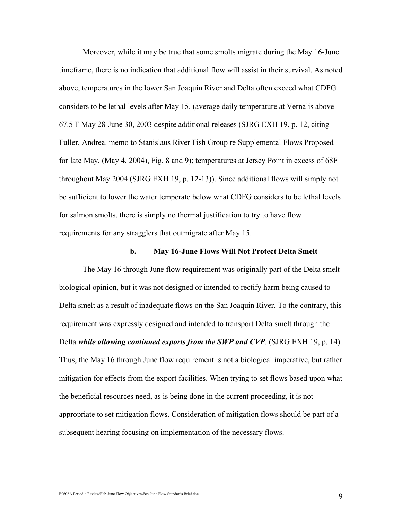Moreover, while it may be true that some smolts migrate during the May 16-June timeframe, there is no indication that additional flow will assist in their survival. As noted above, temperatures in the lower San Joaquin River and Delta often exceed what CDFG considers to be lethal levels after May 15. (average daily temperature at Vernalis above 67.5 F May 28-June 30, 2003 despite additional releases (SJRG EXH 19, p. 12, citing Fuller, Andrea. memo to Stanislaus River Fish Group re Supplemental Flows Proposed for late May, (May 4, 2004), Fig. 8 and 9); temperatures at Jersey Point in excess of 68F throughout May 2004 (SJRG EXH 19, p. 12-13)). Since additional flows will simply not be sufficient to lower the water temperate below what CDFG considers to be lethal levels for salmon smolts, there is simply no thermal justification to try to have flow requirements for any stragglers that outmigrate after May 15.

#### b. May 16-June Flows Will Not Protect Delta Smelt

 The May 16 through June flow requirement was originally part of the Delta smelt biological opinion, but it was not designed or intended to rectify harm being caused to Delta smelt as a result of inadequate flows on the San Joaquin River. To the contrary, this requirement was expressly designed and intended to transport Delta smelt through the Delta while allowing continued exports from the SWP and CVP. (SJRG EXH 19, p. 14). Thus, the May 16 through June flow requirement is not a biological imperative, but rather mitigation for effects from the export facilities. When trying to set flows based upon what the beneficial resources need, as is being done in the current proceeding, it is not appropriate to set mitigation flows. Consideration of mitigation flows should be part of a subsequent hearing focusing on implementation of the necessary flows.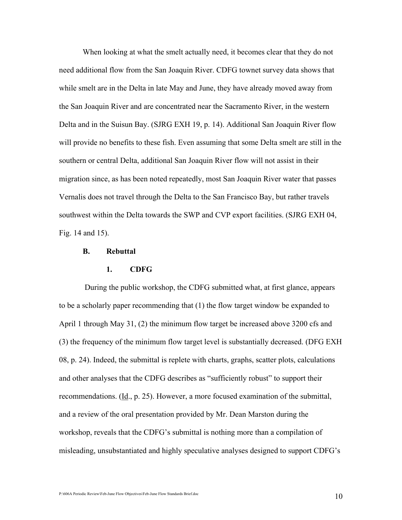When looking at what the smelt actually need, it becomes clear that they do not need additional flow from the San Joaquin River. CDFG townet survey data shows that while smelt are in the Delta in late May and June, they have already moved away from the San Joaquin River and are concentrated near the Sacramento River, in the western Delta and in the Suisun Bay. (SJRG EXH 19, p. 14). Additional San Joaquin River flow will provide no benefits to these fish. Even assuming that some Delta smelt are still in the southern or central Delta, additional San Joaquin River flow will not assist in their migration since, as has been noted repeatedly, most San Joaquin River water that passes Vernalis does not travel through the Delta to the San Francisco Bay, but rather travels southwest within the Delta towards the SWP and CVP export facilities. (SJRG EXH 04, Fig. 14 and 15).

#### B. Rebuttal

#### 1. CDFG

 During the public workshop, the CDFG submitted what, at first glance, appears to be a scholarly paper recommending that (1) the flow target window be expanded to April 1 through May 31, (2) the minimum flow target be increased above 3200 cfs and (3) the frequency of the minimum flow target level is substantially decreased. (DFG EXH 08, p. 24). Indeed, the submittal is replete with charts, graphs, scatter plots, calculations and other analyses that the CDFG describes as "sufficiently robust" to support their recommendations. (Id., p. 25). However, a more focused examination of the submittal, and a review of the oral presentation provided by Mr. Dean Marston during the workshop, reveals that the CDFG's submittal is nothing more than a compilation of misleading, unsubstantiated and highly speculative analyses designed to support CDFG's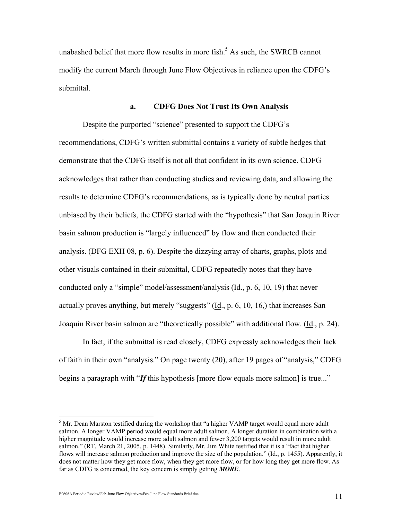unabashed belief that more flow results in more fish.<sup>5</sup> As such, the SWRCB cannot modify the current March through June Flow Objectives in reliance upon the CDFG's submittal.

#### a. CDFG Does Not Trust Its Own Analysis

 Despite the purported "science" presented to support the CDFG's recommendations, CDFG's written submittal contains a variety of subtle hedges that demonstrate that the CDFG itself is not all that confident in its own science. CDFG acknowledges that rather than conducting studies and reviewing data, and allowing the results to determine CDFG's recommendations, as is typically done by neutral parties unbiased by their beliefs, the CDFG started with the "hypothesis" that San Joaquin River basin salmon production is "largely influenced" by flow and then conducted their analysis. (DFG EXH 08, p. 6). Despite the dizzying array of charts, graphs, plots and other visuals contained in their submittal, CDFG repeatedly notes that they have conducted only a "simple" model/assessment/analysis  $(\underline{Id}, p. 6, 10, 19)$  that never actually proves anything, but merely "suggests"  $(\underline{Id}, p. 6, 10, 16)$  that increases San Joaquin River basin salmon are "theoretically possible" with additional flow. (Id., p. 24).

 In fact, if the submittal is read closely, CDFG expressly acknowledges their lack of faith in their own "analysis." On page twenty (20), after 19 pages of "analysis," CDFG begins a paragraph with "If this hypothesis [more flow equals more salmon] is true..."

<sup>&</sup>lt;sup>5</sup> Mr. Dean Marston testified during the workshop that "a higher VAMP target would equal more adult salmon. A longer VAMP period would equal more adult salmon. A longer duration in combination with a higher magnitude would increase more adult salmon and fewer 3,200 targets would result in more adult salmon." (RT, March 21, 2005, p. 1448). Similarly, Mr. Jim White testified that it is a "fact that higher flows will increase salmon production and improve the size of the population." (Id., p. 1455). Apparently, it does not matter how they get more flow, when they get more flow, or for how long they get more flow. As far as CDFG is concerned, the key concern is simply getting **MORE**.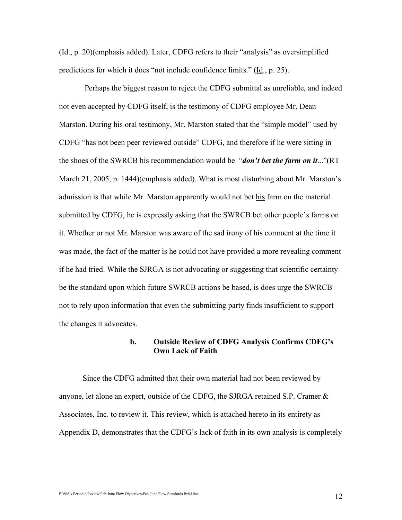(Id., p. 20)(emphasis added). Later, CDFG refers to their "analysis" as oversimplified predictions for which it does "not include confidence limits." (Id., p. 25).

 Perhaps the biggest reason to reject the CDFG submittal as unreliable, and indeed not even accepted by CDFG itself, is the testimony of CDFG employee Mr. Dean Marston. During his oral testimony, Mr. Marston stated that the "simple model" used by CDFG "has not been peer reviewed outside" CDFG, and therefore if he were sitting in the shoes of the SWRCB his recommendation would be "*don't bet the farm on it...*"(RT March 21, 2005, p. 1444)(emphasis added). What is most disturbing about Mr. Marston's admission is that while Mr. Marston apparently would not bet his farm on the material submitted by CDFG, he is expressly asking that the SWRCB bet other people's farms on it. Whether or not Mr. Marston was aware of the sad irony of his comment at the time it was made, the fact of the matter is he could not have provided a more revealing comment if he had tried. While the SJRGA is not advocating or suggesting that scientific certainty be the standard upon which future SWRCB actions be based, is does urge the SWRCB not to rely upon information that even the submitting party finds insufficient to support the changes it advocates.

## b. Outside Review of CDFG Analysis Confirms CDFG's Own Lack of Faith

 Since the CDFG admitted that their own material had not been reviewed by anyone, let alone an expert, outside of the CDFG, the SJRGA retained S.P. Cramer & Associates, Inc. to review it. This review, which is attached hereto in its entirety as Appendix D, demonstrates that the CDFG's lack of faith in its own analysis is completely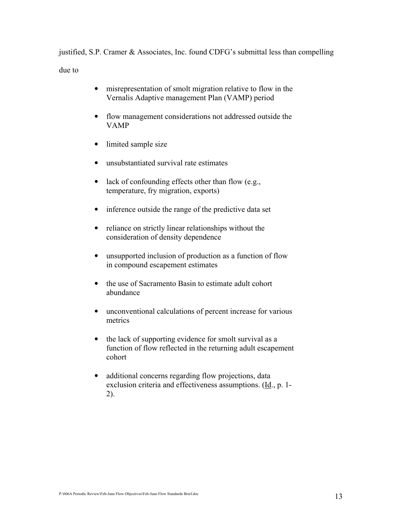justified, S.P. Cramer & Associates, Inc. found CDFG's submittal less than compelling due to

- misrepresentation of smolt migration relative to flow in the Vernalis Adaptive management Plan (VAMP) period
- flow management considerations not addressed outside the VAMP
- limited sample size
- unsubstantiated survival rate estimates
- lack of confounding effects other than flow (e.g., temperature, fry migration, exports)
- inference outside the range of the predictive data set
- reliance on strictly linear relationships without the consideration of density dependence
- unsupported inclusion of production as a function of flow in compound escapement estimates
- the use of Sacramento Basin to estimate adult cohort abundance
- unconventional calculations of percent increase for various metrics
- the lack of supporting evidence for smolt survival as a function of flow reflected in the returning adult escapement cohort
- additional concerns regarding flow projections, data exclusion criteria and effectiveness assumptions. (Id., p. 1- 2).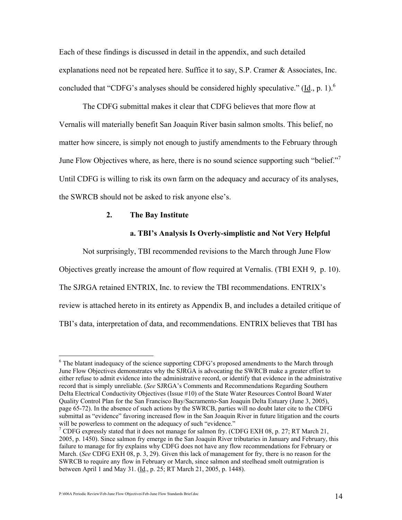Each of these findings is discussed in detail in the appendix, and such detailed explanations need not be repeated here. Suffice it to say, S.P. Cramer & Associates, Inc. concluded that "CDFG's analyses should be considered highly speculative." ( $\underline{Id}$ , p. 1).<sup>6</sup>

 The CDFG submittal makes it clear that CDFG believes that more flow at Vernalis will materially benefit San Joaquin River basin salmon smolts. This belief, no matter how sincere, is simply not enough to justify amendments to the February through June Flow Objectives where, as here, there is no sound science supporting such "belief." Until CDFG is willing to risk its own farm on the adequacy and accuracy of its analyses, the SWRCB should not be asked to risk anyone else's.

#### 2. The Bay Institute

#### a. TBI's Analysis Is Overly-simplistic and Not Very Helpful

Not surprisingly, TBI recommended revisions to the March through June Flow

Objectives greatly increase the amount of flow required at Vernalis. (TBI EXH 9, p. 10).

The SJRGA retained ENTRIX, Inc. to review the TBI recommendations. ENTRIX's

review is attached hereto in its entirety as Appendix B, and includes a detailed critique of

TBI's data, interpretation of data, and recommendations. ENTRIX believes that TBI has

<sup>&</sup>lt;sup>6</sup> The blatant inadequacy of the science supporting CDFG's proposed amendments to the March through June Flow Objectives demonstrates why the SJRGA is advocating the SWRCB make a greater effort to either refuse to admit evidence into the administrative record, or identify that evidence in the administrative record that is simply unreliable. (See SJRGA's Comments and Recommendations Regarding Southern Delta Electrical Conductivity Objectives (Issue #10) of the State Water Resources Control Board Water Quality Control Plan for the San Francisco Bay/Sacramento-San Joaquin Delta Estuary (June 3, 2005), page 65-72). In the absence of such actions by the SWRCB, parties will no doubt later cite to the CDFG submittal as "evidence" favoring increased flow in the San Joaquin River in future litigation and the courts will be powerless to comment on the adequacy of such "evidence."

<sup>&</sup>lt;sup>7</sup> CDFG expressly stated that it does not manage for salmon fry. (CDFG EXH 08, p. 27; RT March 21, 2005, p. 1450). Since salmon fry emerge in the San Joaquin River tributaries in January and February, this failure to manage for fry explains why CDFG does not have any flow recommendations for February or March. (See CDFG EXH 08, p. 3, 29). Given this lack of management for fry, there is no reason for the SWRCB to require any flow in February or March, since salmon and steelhead smolt outmigration is between April 1 and May 31. (*Id.*, p. 25; RT March 21, 2005, p. 1448).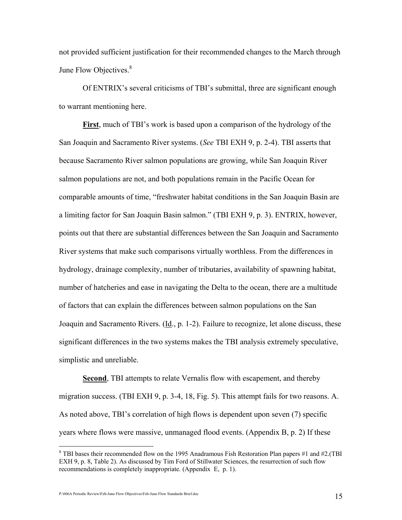not provided sufficient justification for their recommended changes to the March through June Flow Objectives.<sup>8</sup>

 Of ENTRIX's several criticisms of TBI's submittal, three are significant enough to warrant mentioning here.

 First, much of TBI's work is based upon a comparison of the hydrology of the San Joaquin and Sacramento River systems. (See TBI EXH 9, p. 2-4). TBI asserts that because Sacramento River salmon populations are growing, while San Joaquin River salmon populations are not, and both populations remain in the Pacific Ocean for comparable amounts of time, "freshwater habitat conditions in the San Joaquin Basin are a limiting factor for San Joaquin Basin salmon." (TBI EXH 9, p. 3). ENTRIX, however, points out that there are substantial differences between the San Joaquin and Sacramento River systems that make such comparisons virtually worthless. From the differences in hydrology, drainage complexity, number of tributaries, availability of spawning habitat, number of hatcheries and ease in navigating the Delta to the ocean, there are a multitude of factors that can explain the differences between salmon populations on the San Joaquin and Sacramento Rivers. (Id., p. 1-2). Failure to recognize, let alone discuss, these significant differences in the two systems makes the TBI analysis extremely speculative, simplistic and unreliable.

**Second**, TBI attempts to relate Vernalis flow with escapement, and thereby migration success. (TBI EXH 9, p. 3-4, 18, Fig. 5). This attempt fails for two reasons. A. As noted above, TBI's correlation of high flows is dependent upon seven (7) specific years where flows were massive, unmanaged flood events. (Appendix B, p. 2) If these

P:\606A Periodic Review\Feb-June Flow Objectives\Feb-June Flow Standards Brief.doc 15

<sup>&</sup>lt;sup>8</sup> TBI bases their recommended flow on the 1995 Anadramous Fish Restoration Plan papers #1 and #2.(TBI EXH 9, p. 8, Table 2). As discussed by Tim Ford of Stillwater Sciences, the resurrection of such flow recommendations is completely inappropriate. (Appendix E, p. 1).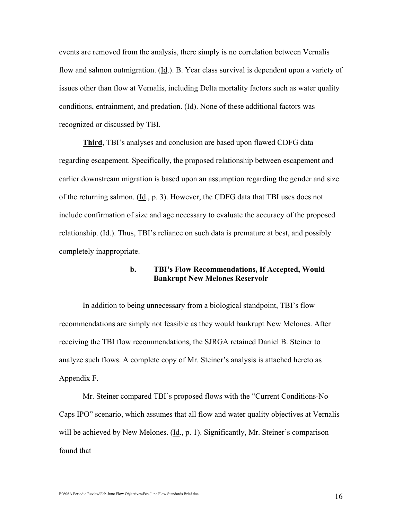events are removed from the analysis, there simply is no correlation between Vernalis flow and salmon outmigration. (Id.). B. Year class survival is dependent upon a variety of issues other than flow at Vernalis, including Delta mortality factors such as water quality conditions, entrainment, and predation. (Id). None of these additional factors was recognized or discussed by TBI.

**Third, TBI's analyses and conclusion are based upon flawed CDFG data** regarding escapement. Specifically, the proposed relationship between escapement and earlier downstream migration is based upon an assumption regarding the gender and size of the returning salmon. (Id., p. 3). However, the CDFG data that TBI uses does not include confirmation of size and age necessary to evaluate the accuracy of the proposed relationship. (Id.). Thus, TBI's reliance on such data is premature at best, and possibly completely inappropriate.

## b. TBI's Flow Recommendations, If Accepted, Would Bankrupt New Melones Reservoir

 In addition to being unnecessary from a biological standpoint, TBI's flow recommendations are simply not feasible as they would bankrupt New Melones. After receiving the TBI flow recommendations, the SJRGA retained Daniel B. Steiner to analyze such flows. A complete copy of Mr. Steiner's analysis is attached hereto as Appendix F.

 Mr. Steiner compared TBI's proposed flows with the "Current Conditions-No Caps IPO" scenario, which assumes that all flow and water quality objectives at Vernalis will be achieved by New Melones. (Id., p. 1). Significantly, Mr. Steiner's comparison found that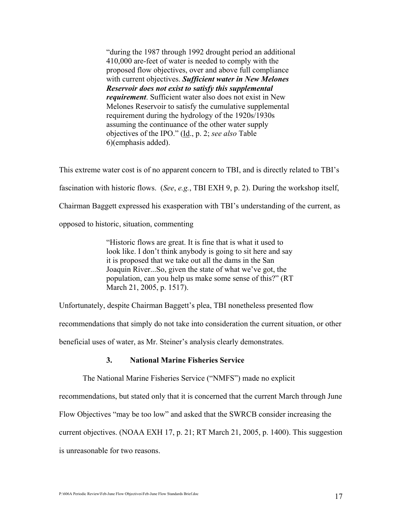"during the 1987 through 1992 drought period an additional 410,000 are-feet of water is needed to comply with the proposed flow objectives, over and above full compliance with current objectives. Sufficient water in New Melones Reservoir does not exist to satisfy this supplemental requirement. Sufficient water also does not exist in New Melones Reservoir to satisfy the cumulative supplemental requirement during the hydrology of the 1920s/1930s assuming the continuance of the other water supply objectives of the IPO." (Id., p. 2; see also Table 6)(emphasis added).

This extreme water cost is of no apparent concern to TBI, and is directly related to TBI's fascination with historic flows. (See, e.g., TBI EXH 9, p. 2). During the workshop itself, Chairman Baggett expressed his exasperation with TBI's understanding of the current, as opposed to historic, situation, commenting

> "Historic flows are great. It is fine that is what it used to look like. I don't think anybody is going to sit here and say it is proposed that we take out all the dams in the San Joaquin River...So, given the state of what we've got, the population, can you help us make some sense of this?" (RT March 21, 2005, p. 1517).

Unfortunately, despite Chairman Baggett's plea, TBI nonetheless presented flow

recommendations that simply do not take into consideration the current situation, or other

beneficial uses of water, as Mr. Steiner's analysis clearly demonstrates.

## 3. National Marine Fisheries Service

The National Marine Fisheries Service ("NMFS") made no explicit

recommendations, but stated only that it is concerned that the current March through June

Flow Objectives "may be too low" and asked that the SWRCB consider increasing the

current objectives. (NOAA EXH 17, p. 21; RT March 21, 2005, p. 1400). This suggestion

is unreasonable for two reasons.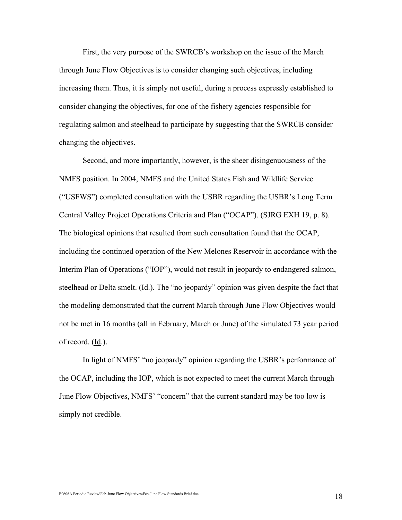First, the very purpose of the SWRCB's workshop on the issue of the March through June Flow Objectives is to consider changing such objectives, including increasing them. Thus, it is simply not useful, during a process expressly established to consider changing the objectives, for one of the fishery agencies responsible for regulating salmon and steelhead to participate by suggesting that the SWRCB consider changing the objectives.

 Second, and more importantly, however, is the sheer disingenuousness of the NMFS position. In 2004, NMFS and the United States Fish and Wildlife Service ("USFWS") completed consultation with the USBR regarding the USBR's Long Term Central Valley Project Operations Criteria and Plan ("OCAP"). (SJRG EXH 19, p. 8). The biological opinions that resulted from such consultation found that the OCAP, including the continued operation of the New Melones Reservoir in accordance with the Interim Plan of Operations ("IOP"), would not result in jeopardy to endangered salmon, steelhead or Delta smelt.  $(\underline{Id})$ . The "no jeopardy" opinion was given despite the fact that the modeling demonstrated that the current March through June Flow Objectives would not be met in 16 months (all in February, March or June) of the simulated 73 year period of record. (Id.).

 In light of NMFS' "no jeopardy" opinion regarding the USBR's performance of the OCAP, including the IOP, which is not expected to meet the current March through June Flow Objectives, NMFS' "concern" that the current standard may be too low is simply not credible.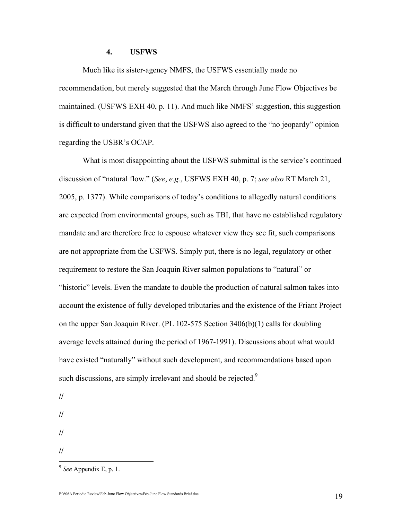#### 4. USFWS

 Much like its sister-agency NMFS, the USFWS essentially made no recommendation, but merely suggested that the March through June Flow Objectives be maintained. (USFWS EXH 40, p. 11). And much like NMFS' suggestion, this suggestion is difficult to understand given that the USFWS also agreed to the "no jeopardy" opinion regarding the USBR's OCAP.

 What is most disappointing about the USFWS submittal is the service's continued discussion of "natural flow." (See, e.g., USFWS EXH 40, p. 7; see also RT March 21, 2005, p. 1377). While comparisons of today's conditions to allegedly natural conditions are expected from environmental groups, such as TBI, that have no established regulatory mandate and are therefore free to espouse whatever view they see fit, such comparisons are not appropriate from the USFWS. Simply put, there is no legal, regulatory or other requirement to restore the San Joaquin River salmon populations to "natural" or "historic" levels. Even the mandate to double the production of natural salmon takes into account the existence of fully developed tributaries and the existence of the Friant Project on the upper San Joaquin River. (PL 102-575 Section 3406(b)(1) calls for doubling average levels attained during the period of 1967-1991). Discussions about what would have existed "naturally" without such development, and recommendations based upon such discussions, are simply irrelevant and should be rejected.<sup>9</sup>

// // // //

 $9$  See Appendix E, p. 1.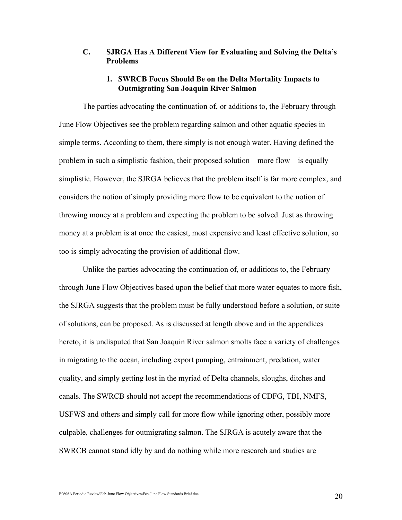## C. SJRGA Has A Different View for Evaluating and Solving the Delta's Problems

## 1. SWRCB Focus Should Be on the Delta Mortality Impacts to Outmigrating San Joaquin River Salmon

 The parties advocating the continuation of, or additions to, the February through June Flow Objectives see the problem regarding salmon and other aquatic species in simple terms. According to them, there simply is not enough water. Having defined the problem in such a simplistic fashion, their proposed solution – more flow – is equally simplistic. However, the SJRGA believes that the problem itself is far more complex, and considers the notion of simply providing more flow to be equivalent to the notion of throwing money at a problem and expecting the problem to be solved. Just as throwing money at a problem is at once the easiest, most expensive and least effective solution, so too is simply advocating the provision of additional flow.

Unlike the parties advocating the continuation of, or additions to, the February through June Flow Objectives based upon the belief that more water equates to more fish, the SJRGA suggests that the problem must be fully understood before a solution, or suite of solutions, can be proposed. As is discussed at length above and in the appendices hereto, it is undisputed that San Joaquin River salmon smolts face a variety of challenges in migrating to the ocean, including export pumping, entrainment, predation, water quality, and simply getting lost in the myriad of Delta channels, sloughs, ditches and canals. The SWRCB should not accept the recommendations of CDFG, TBI, NMFS, USFWS and others and simply call for more flow while ignoring other, possibly more culpable, challenges for outmigrating salmon. The SJRGA is acutely aware that the SWRCB cannot stand idly by and do nothing while more research and studies are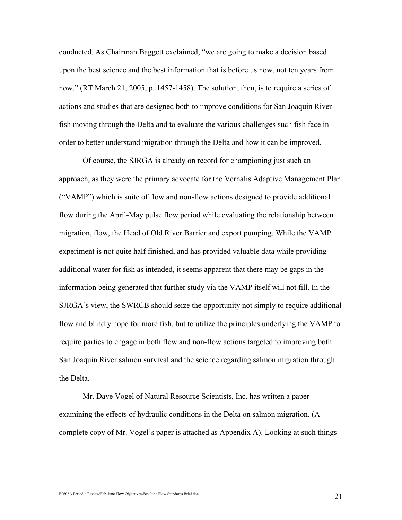conducted. As Chairman Baggett exclaimed, "we are going to make a decision based upon the best science and the best information that is before us now, not ten years from now." (RT March 21, 2005, p. 1457-1458). The solution, then, is to require a series of actions and studies that are designed both to improve conditions for San Joaquin River fish moving through the Delta and to evaluate the various challenges such fish face in order to better understand migration through the Delta and how it can be improved.

 Of course, the SJRGA is already on record for championing just such an approach, as they were the primary advocate for the Vernalis Adaptive Management Plan ("VAMP") which is suite of flow and non-flow actions designed to provide additional flow during the April-May pulse flow period while evaluating the relationship between migration, flow, the Head of Old River Barrier and export pumping. While the VAMP experiment is not quite half finished, and has provided valuable data while providing additional water for fish as intended, it seems apparent that there may be gaps in the information being generated that further study via the VAMP itself will not fill. In the SJRGA's view, the SWRCB should seize the opportunity not simply to require additional flow and blindly hope for more fish, but to utilize the principles underlying the VAMP to require parties to engage in both flow and non-flow actions targeted to improving both San Joaquin River salmon survival and the science regarding salmon migration through the Delta.

 Mr. Dave Vogel of Natural Resource Scientists, Inc. has written a paper examining the effects of hydraulic conditions in the Delta on salmon migration. (A complete copy of Mr. Vogel's paper is attached as Appendix A). Looking at such things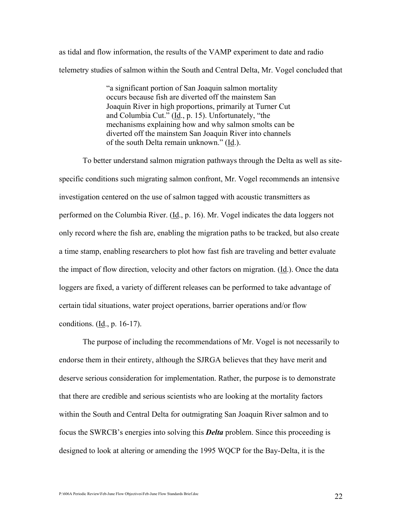as tidal and flow information, the results of the VAMP experiment to date and radio telemetry studies of salmon within the South and Central Delta, Mr. Vogel concluded that

> "a significant portion of San Joaquin salmon mortality occurs because fish are diverted off the mainstem San Joaquin River in high proportions, primarily at Turner Cut and Columbia Cut."  $(\underline{Id}, p. 15)$ . Unfortunately, "the mechanisms explaining how and why salmon smolts can be diverted off the mainstem San Joaquin River into channels of the south Delta remain unknown." (Id.).

 To better understand salmon migration pathways through the Delta as well as sitespecific conditions such migrating salmon confront, Mr. Vogel recommends an intensive investigation centered on the use of salmon tagged with acoustic transmitters as performed on the Columbia River. (Id., p. 16). Mr. Vogel indicates the data loggers not only record where the fish are, enabling the migration paths to be tracked, but also create a time stamp, enabling researchers to plot how fast fish are traveling and better evaluate the impact of flow direction, velocity and other factors on migration. (Id.). Once the data loggers are fixed, a variety of different releases can be performed to take advantage of certain tidal situations, water project operations, barrier operations and/or flow conditions. (Id., p. 16-17).

 The purpose of including the recommendations of Mr. Vogel is not necessarily to endorse them in their entirety, although the SJRGA believes that they have merit and deserve serious consideration for implementation. Rather, the purpose is to demonstrate that there are credible and serious scientists who are looking at the mortality factors within the South and Central Delta for outmigrating San Joaquin River salmon and to focus the SWRCB's energies into solving this Delta problem. Since this proceeding is designed to look at altering or amending the 1995 WQCP for the Bay-Delta, it is the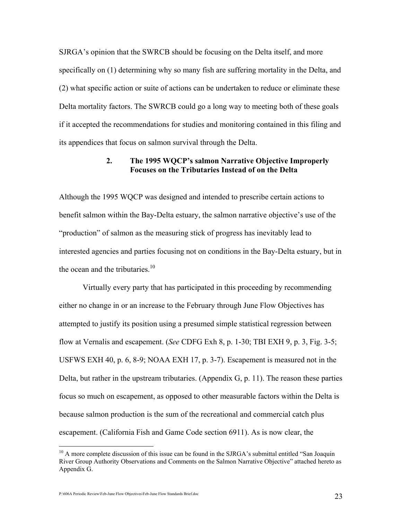SJRGA's opinion that the SWRCB should be focusing on the Delta itself, and more specifically on (1) determining why so many fish are suffering mortality in the Delta, and (2) what specific action or suite of actions can be undertaken to reduce or eliminate these Delta mortality factors. The SWRCB could go a long way to meeting both of these goals if it accepted the recommendations for studies and monitoring contained in this filing and its appendices that focus on salmon survival through the Delta.

## 2. The 1995 WQCP's salmon Narrative Objective Improperly Focuses on the Tributaries Instead of on the Delta

Although the 1995 WQCP was designed and intended to prescribe certain actions to benefit salmon within the Bay-Delta estuary, the salmon narrative objective's use of the "production" of salmon as the measuring stick of progress has inevitably lead to interested agencies and parties focusing not on conditions in the Bay-Delta estuary, but in the ocean and the tributaries. $10<sup>10</sup>$ 

 Virtually every party that has participated in this proceeding by recommending either no change in or an increase to the February through June Flow Objectives has attempted to justify its position using a presumed simple statistical regression between flow at Vernalis and escapement. (See CDFG Exh 8, p. 1-30; TBI EXH 9, p. 3, Fig. 3-5; USFWS EXH 40, p. 6, 8-9; NOAA EXH 17, p. 3-7). Escapement is measured not in the Delta, but rather in the upstream tributaries. (Appendix G, p. 11). The reason these parties focus so much on escapement, as opposed to other measurable factors within the Delta is because salmon production is the sum of the recreational and commercial catch plus escapement. (California Fish and Game Code section 6911). As is now clear, the

-

 $10$  A more complete discussion of this issue can be found in the SJRGA's submittal entitled "San Joaquin" River Group Authority Observations and Comments on the Salmon Narrative Objective" attached hereto as Appendix G.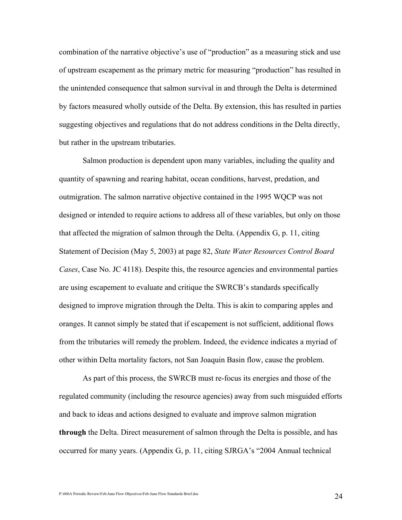combination of the narrative objective's use of "production" as a measuring stick and use of upstream escapement as the primary metric for measuring "production" has resulted in the unintended consequence that salmon survival in and through the Delta is determined by factors measured wholly outside of the Delta. By extension, this has resulted in parties suggesting objectives and regulations that do not address conditions in the Delta directly, but rather in the upstream tributaries.

 Salmon production is dependent upon many variables, including the quality and quantity of spawning and rearing habitat, ocean conditions, harvest, predation, and outmigration. The salmon narrative objective contained in the 1995 WQCP was not designed or intended to require actions to address all of these variables, but only on those that affected the migration of salmon through the Delta. (Appendix G, p. 11, citing Statement of Decision (May 5, 2003) at page 82, State Water Resources Control Board Cases, Case No. JC 4118). Despite this, the resource agencies and environmental parties are using escapement to evaluate and critique the SWRCB's standards specifically designed to improve migration through the Delta. This is akin to comparing apples and oranges. It cannot simply be stated that if escapement is not sufficient, additional flows from the tributaries will remedy the problem. Indeed, the evidence indicates a myriad of other within Delta mortality factors, not San Joaquin Basin flow, cause the problem.

 As part of this process, the SWRCB must re-focus its energies and those of the regulated community (including the resource agencies) away from such misguided efforts and back to ideas and actions designed to evaluate and improve salmon migration through the Delta. Direct measurement of salmon through the Delta is possible, and has occurred for many years. (Appendix G, p. 11, citing SJRGA's "2004 Annual technical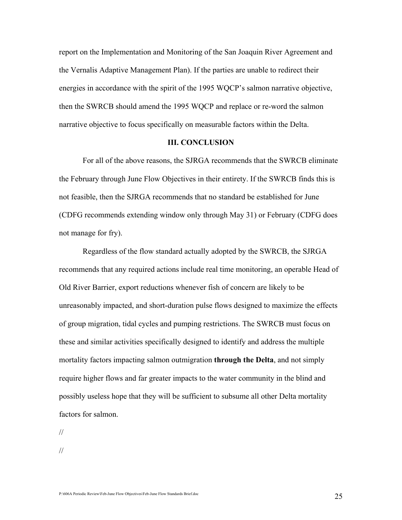report on the Implementation and Monitoring of the San Joaquin River Agreement and the Vernalis Adaptive Management Plan). If the parties are unable to redirect their energies in accordance with the spirit of the 1995 WQCP's salmon narrative objective, then the SWRCB should amend the 1995 WQCP and replace or re-word the salmon narrative objective to focus specifically on measurable factors within the Delta.

#### III. CONCLUSION

 For all of the above reasons, the SJRGA recommends that the SWRCB eliminate the February through June Flow Objectives in their entirety. If the SWRCB finds this is not feasible, then the SJRGA recommends that no standard be established for June (CDFG recommends extending window only through May 31) or February (CDFG does not manage for fry).

 Regardless of the flow standard actually adopted by the SWRCB, the SJRGA recommends that any required actions include real time monitoring, an operable Head of Old River Barrier, export reductions whenever fish of concern are likely to be unreasonably impacted, and short-duration pulse flows designed to maximize the effects of group migration, tidal cycles and pumping restrictions. The SWRCB must focus on these and similar activities specifically designed to identify and address the multiple mortality factors impacting salmon outmigration **through the Delta**, and not simply require higher flows and far greater impacts to the water community in the blind and possibly useless hope that they will be sufficient to subsume all other Delta mortality factors for salmon.

//

//